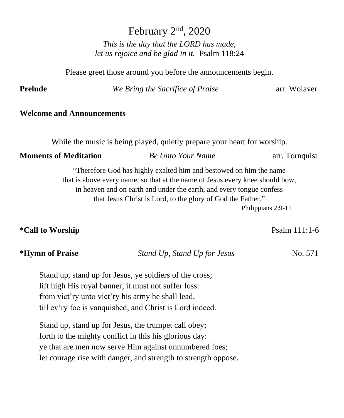February 2<sup>nd</sup>, 2020

*This is the day that the LORD has made, let us rejoice and be glad in it.* Psalm 118:24

Please greet those around you before the announcements begin.

**Prelude** *We Bring the Sacrifice of Praise* arr. Wolaver

#### **Welcome and Announcements**

While the music is being played, quietly prepare your heart for worship.

#### **Moments of Meditation** *Be Unto Your Name* arr. Tornquist

"Therefore God has highly exalted him and bestowed on him the name that is above every name, so that at the name of Jesus every knee should bow, in heaven and on earth and under the earth, and every tongue confess that Jesus Christ is Lord, to the glory of God the Father." Philippians 2:9-11

### **\*Call to Worship**   $\bullet$  **Psalm 111:1-6**

### **\*Hymn of Praise** *Stand Up, Stand Up for Jesus* No. 571

Stand up, stand up for Jesus, ye soldiers of the cross; lift high His royal banner, it must not suffer loss: from vict'ry unto vict'ry his army he shall lead, till ev'ry foe is vanquished, and Christ is Lord indeed.

Stand up, stand up for Jesus, the trumpet call obey; forth to the mighty conflict in this his glorious day: ye that are men now serve Him against unnumbered foes; let courage rise with danger, and strength to strength oppose.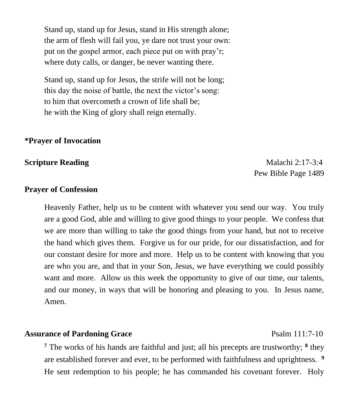Stand up, stand up for Jesus, stand in His strength alone; the arm of flesh will fail you, ye dare not trust your own: put on the gospel armor, each piece put on with pray'r; where duty calls, or danger, be never wanting there.

Stand up, stand up for Jesus, the strife will not be long; this day the noise of battle, the next the victor's song: to him that overcometh a crown of life shall be; he with the King of glory shall reign eternally.

#### **\*Prayer of Invocation**

**Scripture Reading**  Malachi 2:17-3:4 Pew Bible Page 1489

#### **Prayer of Confession**

Heavenly Father, help us to be content with whatever you send our way. You truly are a good God, able and willing to give good things to your people. We confess that we are more than willing to take the good things from your hand, but not to receive the hand which gives them. Forgive us for our pride, for our dissatisfaction, and for our constant desire for more and more. Help us to be content with knowing that you are who you are, and that in your Son, Jesus, we have everything we could possibly want and more. Allow us this week the opportunity to give of our time, our talents, and our money, in ways that will be honoring and pleasing to you. In Jesus name, Amen.

#### **Assurance of Pardoning Grace** Psalm 111:7-10

**<sup>7</sup>** The works of his hands are faithful and just; all his precepts are trustworthy; **<sup>8</sup>** they are established forever and ever, to be performed with faithfulness and uprightness. **<sup>9</sup>** He sent redemption to his people; he has commanded his covenant forever. Holy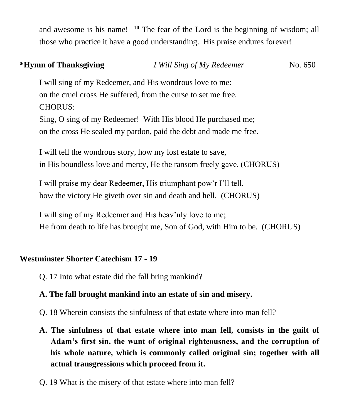and awesome is his name! **<sup>10</sup>** The fear of the Lord is the beginning of wisdom; all those who practice it have a good understanding. His praise endures forever!

| *Hymn of Thanksgiving                                       | I Will Sing of My Redeemer                                           | No. 650 |
|-------------------------------------------------------------|----------------------------------------------------------------------|---------|
|                                                             | I will sing of my Redeemer, and His wondrous love to me:             |         |
|                                                             | on the cruel cross He suffered, from the curse to set me free.       |         |
| <b>CHORUS:</b>                                              |                                                                      |         |
|                                                             | Sing, O sing of my Redeemer! With His blood He purchased me;         |         |
|                                                             | on the cross He sealed my pardon, paid the debt and made me free.    |         |
| I will tell the wondrous story, how my lost estate to save, |                                                                      |         |
|                                                             | in His boundless love and mercy, He the ransom freely gave. (CHORUS) |         |
|                                                             | I will praise my dear Redeemer, His triumphant pow'r I'll tell,      |         |
|                                                             | how the victory He giveth over sin and death and hell. (CHORUS)      |         |

I will sing of my Redeemer and His heav'nly love to me; He from death to life has brought me, Son of God, with Him to be. (CHORUS)

### **Westminster Shorter Catechism 17 - 19**

Q. 17 Into what estate did the fall bring mankind?

### **A. The fall brought mankind into an estate of sin and misery.**

- Q. 18 Wherein consists the sinfulness of that estate where into man fell?
- **A. The sinfulness of that estate where into man fell, consists in the guilt of Adam's first sin, the want of original righteousness, and the corruption of his whole nature, which is commonly called original sin; together with all actual transgressions which proceed from it.**
- Q. 19 What is the misery of that estate where into man fell?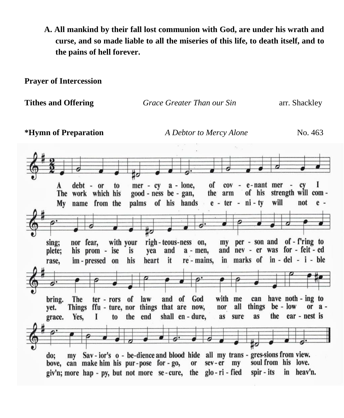**A. All mankind by their fall lost communion with God, are under his wrath and curse, and so made liable to all the miseries of this life, to death itself, and to the pains of hell forever.**

**Prayer of Intercession**

| <b>Tithes and Offering</b>                                                                  | Grace Greater Than our Sin                                                                                                                                                       | arr. Shackley                                                                                  |
|---------------------------------------------------------------------------------------------|----------------------------------------------------------------------------------------------------------------------------------------------------------------------------------|------------------------------------------------------------------------------------------------|
| *Hymn of Preparation                                                                        | A Debtor to Mercy Alone                                                                                                                                                          | No. 463                                                                                        |
|                                                                                             |                                                                                                                                                                                  |                                                                                                |
|                                                                                             |                                                                                                                                                                                  |                                                                                                |
| debt - or<br>to<br>A<br>The work which his<br>My name from the                              | $mer - cy = a - lone,$<br>of<br>$cov - e$ - nant mer<br>of his<br>good - ness be - gan,<br>the arm<br>palms of his hands e - ter - ni - ty                                       | <b>CV</b><br>strength will com-<br>will<br>not<br>$e -$                                        |
|                                                                                             |                                                                                                                                                                                  |                                                                                                |
| with your<br>sing;<br>nor fear,<br>plete;<br>his prom - ise<br>im-pressed on<br>rase,       | righ-teous-ness on,<br>my<br>and<br>and<br>$a - men$ ,<br>is<br>yea<br>heart it re-mains,<br>his                                                                                 | per - son and of - f'ring to<br>nev - er was for - feit - ed<br>in marks of in - del - i - ble |
|                                                                                             |                                                                                                                                                                                  |                                                                                                |
| bring.<br><b>The</b><br>ter - rors of<br><b>Things</b><br>yet.<br>Yes.<br>I<br>to<br>grace. | with me<br>and of God<br>law<br>can<br>all<br>things<br>ffu - ture, nor things that are now,<br>nor<br>shall en - dure,<br>the end<br>as<br>sure<br>as                           | have noth - ing to<br>$be - low$<br>or $a -$<br>the ear - nest is                              |
|                                                                                             |                                                                                                                                                                                  |                                                                                                |
| do;<br>my<br>bove, can make him his pur-pose for-go,                                        | Sav - ior's o - be-dience and blood hide all my trans - gres-sions from view.<br>sev-er<br>my<br>or<br>giv'n; more hap - py, but not more se-cure, the glo-ri-fied<br>spir - its | soul from his love.<br>in heav'n.                                                              |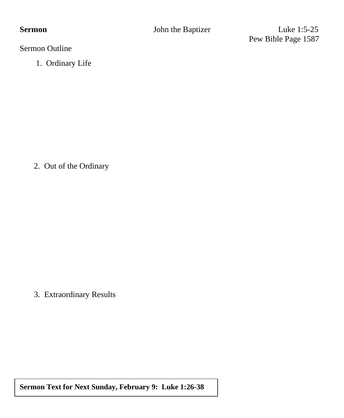**Sermon John the Baptizer** Luke 1:5-25 Pew Bible Page 1587

Sermon Outline

1. Ordinary Life

2. Out of the Ordinary

3. Extraordinary Results

**Sermon Text for Next Sunday, February 9: Luke 1:26-38**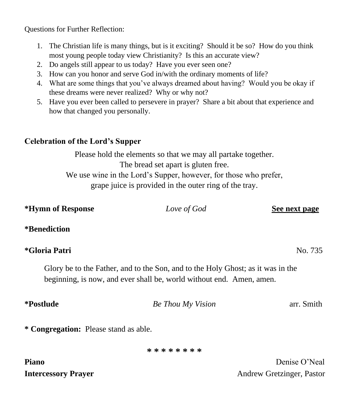Questions for Further Reflection:

- 1. The Christian life is many things, but is it exciting? Should it be so? How do you think most young people today view Christianity? Is this an accurate view?
- 2. Do angels still appear to us today? Have you ever seen one?
- 3. How can you honor and serve God in/with the ordinary moments of life?
- 4. What are some things that you've always dreamed about having? Would you be okay if these dreams were never realized? Why or why not?
- 5. Have you ever been called to persevere in prayer? Share a bit about that experience and how that changed you personally.

#### **Celebration of the Lord's Supper**

Please hold the elements so that we may all partake together. The bread set apart is gluten free. We use wine in the Lord's Supper, however, for those who prefer, grape juice is provided in the outer ring of the tray.

| *Hymn of Response                     | Love of God                                                                                                                                             | See next page |
|---------------------------------------|---------------------------------------------------------------------------------------------------------------------------------------------------------|---------------|
| <i>*</i> Benediction                  |                                                                                                                                                         |               |
| *Gloria Patri                         |                                                                                                                                                         | No. 735       |
|                                       | Glory be to the Father, and to the Son, and to the Holy Ghost; as it was in the<br>beginning, is now, and ever shall be, world without end. Amen, amen. |               |
| <i>*Postlude</i>                      | <b>Be Thou My Vision</b>                                                                                                                                | arr. Smith    |
| * Congregation: Please stand as able. |                                                                                                                                                         |               |
|                                       | * * * * * * * *                                                                                                                                         |               |
| <b>Piano</b>                          |                                                                                                                                                         | Denise O'Neal |

**Intercessory Prayer** Andrew Gretzinger, Pastor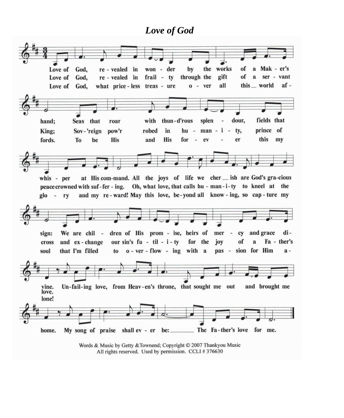#### *Love of God*



Words & Music by Getty & Townend; Copyright © 2007 Thankyou Music All rights reserved. Used by permission. CCLI #376630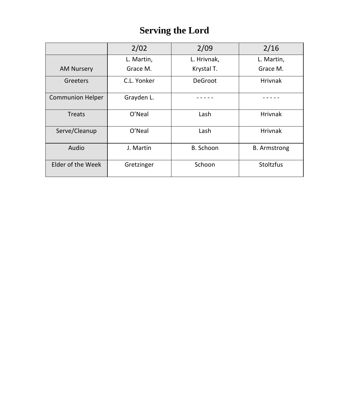## **Serving the Lord**

|                         | 2/02        | 2/09        | 2/16                |
|-------------------------|-------------|-------------|---------------------|
|                         | L. Martin,  | L. Hrivnak, | L. Martin,          |
| <b>AM Nursery</b>       | Grace M.    | Krystal T.  | Grace M.            |
| Greeters                | C.L. Yonker | DeGroot     | <b>Hrivnak</b>      |
| <b>Communion Helper</b> | Grayden L.  |             |                     |
| <b>Treats</b>           | O'Neal      | Lash        | Hrivnak             |
| Serve/Cleanup           | O'Neal      | Lash        | <b>Hrivnak</b>      |
| Audio                   | J. Martin   | B. Schoon   | <b>B.</b> Armstrong |
| Elder of the Week       | Gretzinger  | Schoon      | Stoltzfus           |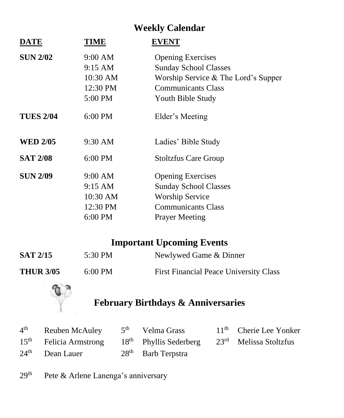## **Weekly Calendar**

| <b>TIME</b> | <b>EVENT</b>                        |
|-------------|-------------------------------------|
| 9:00 AM     | <b>Opening Exercises</b>            |
| 9:15 AM     | <b>Sunday School Classes</b>        |
| 10:30 AM    | Worship Service & The Lord's Supper |
| 12:30 PM    | <b>Communicants Class</b>           |
| 5:00 PM     | Youth Bible Study                   |
| 6:00 PM     | Elder's Meeting                     |
| 9:30 AM     | Ladies' Bible Study                 |
| 6:00 PM     | <b>Stoltzfus Care Group</b>         |
| 9:00 AM     | <b>Opening Exercises</b>            |
| 9:15 AM     | <b>Sunday School Classes</b>        |
| 10:30 AM    | <b>Worship Service</b>              |
| 12:30 PM    | <b>Communicants Class</b>           |
| 6:00 PM     | <b>Prayer Meeting</b>               |
|             |                                     |

## **Important Upcoming Events**

| <b>SAT 2/15</b>  | 5:30 PM           | Newlywed Game & Dinner                        |
|------------------|-------------------|-----------------------------------------------|
| <b>THUR 3/05</b> | $6:00 \text{ PM}$ | <b>First Financial Peace University Class</b> |



# **February Birthdays & Anniversaries**

| $4th$ Reuben McAuley $5th$ Velma Grass                                     |                      | 11 <sup>th</sup> Cherie Lee Yonker |
|----------------------------------------------------------------------------|----------------------|------------------------------------|
| $15th$ Felicia Armstrong $18th$ Phyllis Sederberg $23rd$ Melissa Stoltzfus |                      |                                    |
| $24th$ Dean Lauer                                                          | $28th$ Barb Terpstra |                                    |

29<sup>th</sup> Pete & Arlene Lanenga's anniversary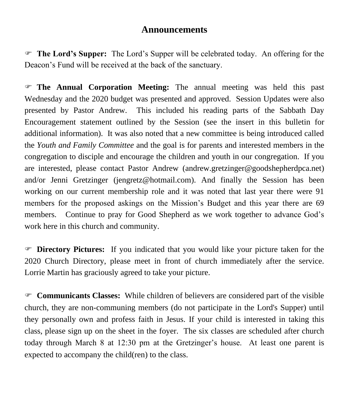#### **Announcements**

 **The Lord's Supper:** The Lord's Supper will be celebrated today. An offering for the Deacon's Fund will be received at the back of the sanctuary.

 **The Annual Corporation Meeting:** The annual meeting was held this past Wednesday and the 2020 budget was presented and approved. Session Updates were also presented by Pastor Andrew. This included his reading parts of the Sabbath Day Encouragement statement outlined by the Session (see the insert in this bulletin for additional information). It was also noted that a new committee is being introduced called the *Youth and Family Committee* and the goal is for parents and interested members in the congregation to disciple and encourage the children and youth in our congregation. If you are interested, please contact Pastor Andrew [\(andrew.gretzinger@goodshepherdpca.net\)](mailto:andrew.gretzinger@goodshepherdpca.net) and/or Jenni Gretzinger (jengretz@hotmail.com). And finally the Session has been working on our current membership role and it was noted that last year there were 91 members for the proposed askings on the Mission's Budget and this year there are 69 members. Continue to pray for Good Shepherd as we work together to advance God's work here in this church and community.

 **Directory Pictures:** If you indicated that you would like your picture taken for the 2020 Church Directory, please meet in front of church immediately after the service. Lorrie Martin has graciously agreed to take your picture.

 **Communicants Classes:** While children of believers are considered part of the visible church, they are non-communing members (do not participate in the Lord's Supper) until they personally own and profess faith in Jesus. If your child is interested in taking this class, please sign up on the sheet in the foyer. The six classes are scheduled after church today through March 8 at 12:30 pm at the Gretzinger's house. At least one parent is expected to accompany the child(ren) to the class.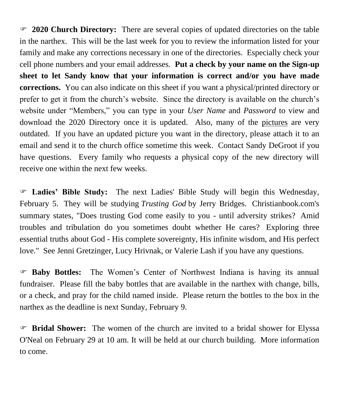**2020 Church Directory:** There are several copies of updated directories on the table in the narthex. This will be the last week for you to review the information listed for your family and make any corrections necessary in one of the directories. Especially check your cell phone numbers and your email addresses. **Put a check by your name on the Sign-up sheet to let Sandy know that your information is correct and/or you have made corrections.** You can also indicate on this sheet if you want a physical/printed directory or prefer to get it from the church's website. Since the directory is available on the church's website under "Members," you can type in your *User Name* and *Password* to view and download the 2020 Directory once it is updated. Also, many of the pictures are very outdated. If you have an updated picture you want in the directory, please attach it to an email and send it to the church office sometime this week. Contact Sandy DeGroot if you have questions. Every family who requests a physical copy of the new directory will receive one within the next few weeks.

 **Ladies' Bible Study:** The next Ladies' Bible Study will begin this Wednesday, February 5. They will be studying *Trusting God* by Jerry Bridges. Christianbook.com's summary states, "Does trusting God come easily to you - until adversity strikes? Amid troubles and tribulation do you sometimes doubt whether He cares? Exploring three essential truths about God - His complete sovereignty, His infinite wisdom, and His perfect love." See Jenni Gretzinger, Lucy Hrivnak, or Valerie Lash if you have any questions.

 **Baby Bottles:** The Women's Center of Northwest Indiana is having its annual fundraiser. Please fill the baby bottles that are available in the narthex with change, bills, or a check, and pray for the child named inside. Please return the bottles to the box in the narthex as the deadline is next Sunday, February 9.

 **Bridal Shower:** The women of the church are invited to a bridal shower for Elyssa O'Neal on February 29 at 10 am. It will be held at our church building. More information to come.